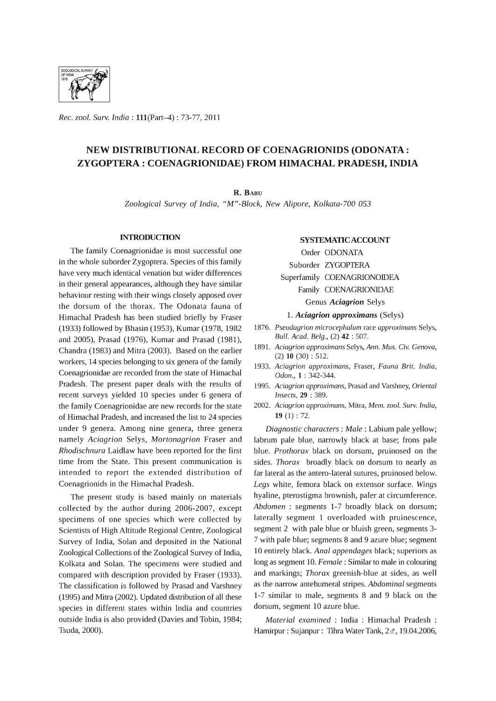

*Rec. zool. Surv. India:* 111(Part-4) : 73-77,2011

# NEW DISTRIBUTIONAL RECORD OF COENAGRIONIDS (ODONATA : ZYGOPTERA : COENAGRIONIDAE) FROM HIMACHAL PRADESH, INDIA

R. BABU

*Zoological Survey* of *India, "M"-Block, New Alipore, Kolkata-700 053* 

# **INTRODUCTION**

The family Coenagrionidae is most successful one in the whole suborder Zygoptera. Species of this family have very much identical venation but wider differences in their general appearances, although they have similar behaviour resting with their wings closely apposed over the dorsum of the thorax. The Odonata fauna of Himachal Pradesh has been studied briefly by Fraser (1933) followed by Bhasin (1953), Kumar (1978, 1982 and 2005), Prasad (1976), Kumar and Prasad (1981), Chandra (1983) and Mitra (2003). Based on the earlier workers, 14 species belonging to six genera of the family Coenagrionidae are recorded from the state of Himachal Pradesh. The present paper deals with the results of recent surveys yielded 10 species under 6 genera of the family Coenagrionidae are new records for the state of Himachal Pradesh, and increased the list to 24 species under 9 genera. Among nine genera, three genera namely *Aciagrion* Selys, *Mortonagrion* Fraser and *Rhodischnura* Laidlaw have been reported for the first time from the State. This present communication is intended to report the extended distribution of Coenagrionids in the Himachal Pradesh.

The present study is based mainly on materials collected by the author during 2006-2007, except specimens of one species which were collected by Scientists of High Altitude Regional Centre, Zoological Survey of India, Solan and deposited in the National Zoological Collections of the Zoological Survey of India, Kolkata and Solan. The specimens were studied and compared with description provided by Fraser (1933). The classification is followed by Prasad and Varshney (1995) and Mitra (2002). Updated distribution of all these species in different states within India and countries outside India is also provided (Davies and Tobin, 1984; Tsuda, 2000).

# SYSTEMATIC ACCOUNT

Order ODONATA Suborder ZYGOPTERA Superfamily COENAGRIONOIDEA Family COENAGRIONIDAE Genus *Aciagrion* Selys

1. *Aciagrion approximans* (Selys)

- *1876. Pseudagrion microcephalum* race *approximans* Selys, *Bull. Acad. Belg.,* (2) 42 : 507.
- 1891. *Aciagrion approximans* Selys, *Ann. Mus. Civ. Genova,*  (2) 10 (30) : 512.
- *1933. Aciagrion approximans,* Fraser, *Fauna Brit. India, Odon.,* 1 : 342-344.
- *1995. Aciagrion approximans,* Prasad and Varshney, *Oriental Insects,* 29 : 389.
- *2002. Aciagrion approximans,* Mitra, *Mem. zool. Surv. India,*  19 (1) : 72.

*Diagnostic characters: Male:* Labium pale yellow; labrum pale blue, narrowly black at base; frons pale blue. *Prothorax* black on dorsum, pruinosed on the sides. *Thorax* broadly black on dorsum to nearly as far lateral as the antero-Iateral sutures, pruinosed below. *Legs* white, femora black on extensor surface. *Wings*  hyaline, pterostigma brownish, paler at circumference. *Abdomen* : segments 1-7 broadly black on dorsum; laterally segment 1 overloaded with pruinescence, segment 2 with pale blue or bluish green, segments 3- 7 with pale blue; segments 8 and 9 azure blue; segment 10 entirely black. *Anal appendages* black; superiors as long as segment 10. *Female:* Similar to male in colouring and markings; *Thorax* greenish-blue at sides, as well as the narrow antehumeral stripes. *Abdominal* segments 1-7 similar to male, segments 8 and 9 black on the dorsum, segment 10 azure blue.

*Material examined* : India : Himachal Pradesh : Hamirpur : Sujanpur : Tihra Water Tank,  $2\sigma$ , 19.04.2006,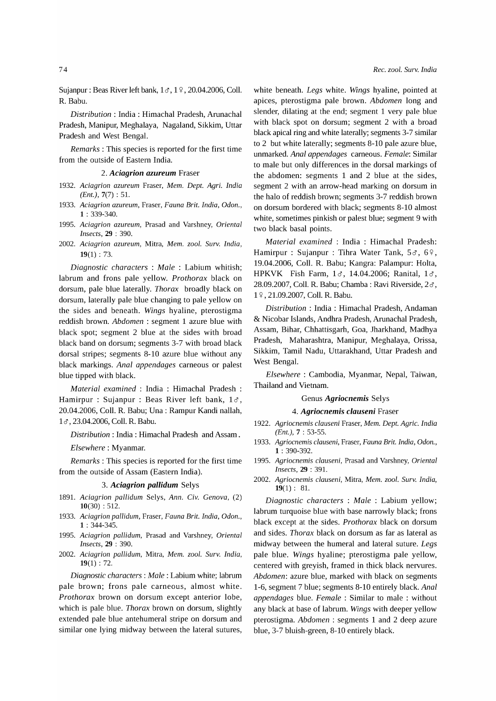Sujanpur : Beas River left bank,  $1 \sigma$ ,  $1 \gamma$ , 20.04.2006, Coll. R. Babu.

*Distribution* : India: Himachal Pradesh, Arunachal Pradesh, Manipur, Meghalaya, Nagaland, Sikkim, Uttar Pradesh and West Bengal.

*Remarks* : This species is reported for the first time from the outside of Eastern India.

## *2. Aciagrion azureum* Fraser

- *1932. Aciagrion azureum* Fraser, *Mem. Dept. Agri. India (Ent.),* 7(7) : 51.
- *1933. Aciagrion azureum,* Fraser, *Fauna Brit. India, Odon.,*  1 : 339-340.
- *1995. Aciagrion azureum,* Prasad and Varshney, *Oriental Insects,* 29 : 390.
- *2002. Aciagrion azureum,* Mitra, *Mem. zool. Surv. India,*   $19(1)$ : 73.

*Diagnostic characters* : *Male* : Labium whitish; labrum and frons pale yellow. *Prothorax* black on dorsum, pale blue laterally. *Thorax* broadly black on dorsum, laterally pale blue changing to pale yellow on the sides and beneath. *Wings* hyaline, pterostigma reddish brown. *Abdomen* : segment 1 azure blue with black spot; segment 2 blue at the sides with broad black band on dorsum; segments 3-7 with broad black dorsal stripes; segments 8-10 azure blue without any black markings. *Anal appendages* carneous or palest blue tipped with black.

*Material examined* : India : Himachal Pradesh : Hamirpur : Sujanpur : Beas River left bank,  $1\sigma$ , 20.04.2006, ColI. R. Babu; Una: Rampur Kandi nallah, 16, 23.04.2006, Coll. R. Babu.

*Distribution* : India: Himachal Pradesh and Assam .

*Elsewhere:* Myanmar.

*Remarks* : This species is reported for the first time from the outside of Assam (Eastern India).

# *3. Aciagrion pallidum* Selys

- 1891. *Aciagrion pallidum* Selys, *Ann. Civ. Genova,* (2)  $10(30) : 512.$
- *1933. Aciagrion pallidum,* Fraser, *Fauna Brit. India, Odon.,*  1 : 344-345.
- *1995. Aciagrion pallidum,* Prasad and Varshney, *Oriental Insects,* 29 : 390.
- *2002. Aciagrion pallidum,* Mitra, *Mem. zool. Surv. India,*   $19(1)$ : 72.

*Diagnostic characters: Male:* Labium white; labrum pale brown; frons pale carneous, almost white. *Prothorax* brown on dorsum except anterior lobe, which is pale blue. *Thorax* brown on dorsum, slightly extended pale blue antehumeral stripe on dorsum and similar one lying midway between the lateral sutures, white beneath. *Legs* white. *Wings* hyaline, pointed at apices, pterostigma pale brown. *Abdomen* long and slender, dilating at the end; segment 1 very pale blue with black spot on dorsum; segment 2 with a broad black apical ring and white laterally; segments 3-7 similar to 2 but white laterally; segments 8-10 pale azure blue, unmarked. *Anal appendages* carneous. *Female:* Similar to male but only differences in the dorsal markings of the abdomen: segments 1 and 2 blue at the sides, segment 2 with an arrow-head marking on dorsum in the halo of reddish brown; segments 3-7 reddish brown on dorsum bordered with black; segments 8-10 almost white, sometimes pinkish or palest blue; segment 9 with two black basal points.

*Material examined* : India : Himachal Pradesh: Hamirpur : Sujanpur : Tihra Water Tank,  $5\sigma$ ,  $6\frac{\circ}{6}$ , 19.04.2006, ColI. R. Babu; Kangra: Palampur: Holta, HPKVK Fish Farm,  $1 \sigma$ , 14.04.2006; Ranital,  $1 \sigma$ , 28.09.2007, Coll. R. Babu; Chamba : Ravi Riverside,  $2\sigma$ , 1 º, 21.09.2007, Coll. R. Babu.

*Distribution* : India : Himachal Pradesh, Andaman & Nicobar Islands, Andhra Pradesh, Arunachal Pradesh, Assam, Bihar, Chhattisgarh, Goa, lharkhand, Madhya Pradesh, Maharashtra, Manipur, Meghalaya, Orissa, Sikkim, Tamil Nadu, Uttarakhand, Uttar Pradesh and West Bengal.

*Elsewhere:* Cambodia, Myanmar, Nepal, Taiwan, Thailand and Vietnam.

# Genus *Agriocnemis* Selys

## *4. Agriocnemis clauseni* Fraser

- *1922. Agriocnemis clauseni* Fraser, *Mem. Dept. Agric. India (Ent.),* 7 : 53-55.
- *1933. Agriocnemis clauseni,* Fraser, *Fauna Brit. India, Odon.,*  1 : 390-392.
- *1995. Agriocnemis clauseni,* Prasad and Varshney, *Oriental Insects,* 29 : 391.
- *2002. Agriocnemis clauseni,* Mitra, *Mem. zool. Surv. India,*   $19(1): 81.$

*Diagnostic characters* : *Male* : Labium yellow; labrum turquoise blue with base narrowly black; frons black except at the sides. *Prothorax* black on dorsum and sides. *Thorax* black on dorsum as far as lateral as midway between the humeral and lateral suture. *Legs*  pale blue. *Wings* hyaline; pterostigma pale yellow, centered with greyish, framed in thick black nervures. *Abdomen:* azure blue, marked with black on segments 1-6, segment 7 blue; segments 8-10 entirely black. *Anal appendages* blue. *Female* : Similar to male : without any black at base of labrum. *Wings* with deeper yellow pterostigma. *Abdomen* : segments 1 and 2 deep azure blue, 3-7 bluish-green, 8-10 entirely black.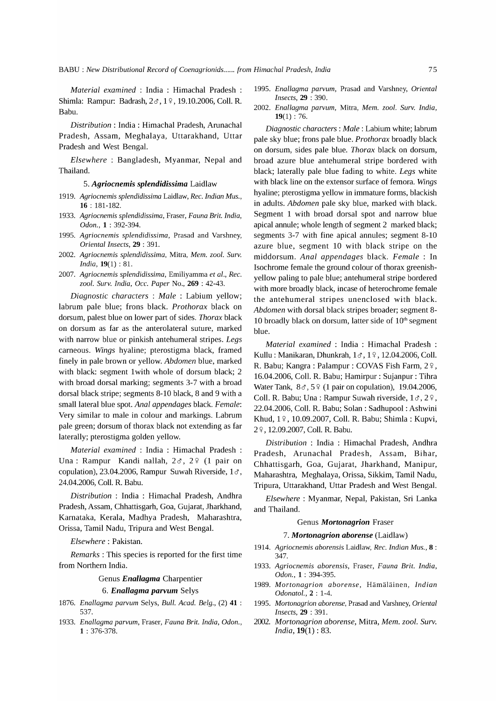*Material examined* : India : Himachal Pradesh : Shimla: Rampur: Badrash,  $2 \sigma$ ,  $1 \div 19.10.2006$ , Coll, R. Babu.

*Distribution:* India: Himachal Pradesh, Arunachal Pradesh, Assam, Meghalaya, Uttarakhand, Uttar Pradesh and West Bengal.

*Elsewhere:* Bangladesh, Myanmar, Nepal and Thailand.

# *5. Agriocnemis spiendidissima* Laidlaw

- *1919. Agriocnemis splendidissima* Laidlaw, *Rec. Indian Mus.,*  16 : 181-182.
- *1933. Agriocnemis splendidissima,* Fraser, *Fauna Brit. India, Odon.,* 1 : 392-394.
- *1995. Agriocnemis splendidissima,* Prasad and Varshney, *Oriental Insects,* 29 : 391.
- *2002. Agriocnemis splendidissima,* Mitra, *Mem. zool. Surv. India,* 19(1) : 81.
- *2007. Agriocnemis splendidissima,* Emiliyamma *et al., Rec. zool. Surv. India, Occ. Paper* No., 269 : 42-43.

*Diagnostic characters* : *Male* : Labium yellow; labrum pale blue; frons black. *Prothorax* black on dorsum, palest blue on lower part of sides. *Thorax* black on dorsum as far as the anterolateral suture, marked with narrow blue or pinkish antehumeral stripes. *Legs*  carneous. *Wings* hyaline; pterostigma black, framed finely in pale brown or yellow. *Abdomen* blue, marked with black: segment 1 with whole of dorsum black; 2 with broad dorsal marking; segments 3-7 with a broad dorsal black stripe; segments 8-10 black, 8 and 9 with a small lateral blue spot. *Anal appendages* black. *Female:*  Very similar to male in colour and markings. Labrum pale green; dorsum of thorax black not extending as far laterally; pterostigma golden yellow.

*Material examined* : India : Himachal Pradesh : Una: Rampur Kandi nallah,  $2\sigma$ ,  $2\sigma$  (1 pair on copulation), 23.04.2006, Rampur Suwah Riverside,  $1\sigma$ , 24.04.2006, ColI. R. Babu.

*Distribution* : India : Himachal Pradesh, Andhra Pradesh, Assam, Chhattisgarh, Goa, Gujarat, lharkhand, Karnataka, Kerala, Madhya Pradesh, Maharashtra, Orissa, Tamil Nadu, Tripura and West Bengal.

*Elsewhere:* Pakistan.

*Remarks:* This species is reported for the first time from Northern India.

# Genus *Enallagma* Charpentier

# *6. Enallagma parvum* Selys

- *1876. Enallagma parvum* Selys, *Bull. Acad. Belg.,* (2) 41 : 537.
- *1933. Enallagma parvum,* Fraser, *Fauna Brit. India, Odon.,*  1 : 376-378.
- *1995. Enallagma parvum,* Prasad and Varshney, *Oriental Insects,* 29 : 390.
- *2002. Enallagma parvum,* Mitra, *Mem. zool. Surv. India,*   $19(1)$ : 76.

*Diagnostic characters: Male:* Labium white; labrum pale sky blue; frons pale blue. *Prothorax* broadly black on dorsum, sides pale blue. *Thorax* black on dorsum, broad azure blue antehumeral stripe bordered with black; laterally pale blue fading to white. *Legs* white with black line on the extensor surface of femora. *Wings*  hyaline; pterostigma yellow in immature forms, blackish in adults. *Abdomen* pale sky blue, marked with black. Segment 1 with broad dorsal spot and narrow blue apical annule; whole length of segment 2 marked black; segments 3-7 with fine apical annules; segment 8-10 azure blue, segment 10 with black stripe on the middorsum. *Anal appendages* black. *Female* : In Isochrome female the ground colour of thorax greenishyellow paling to pale blue; antehumeral stripe bordered with more broadly black, incase of heterochrome female the antehumeral stripes unenclosed with black. *Abdomen* with dorsal black stripes broader; segment 8- 10 broadly black on dorsum, latter side of  $10<sup>th</sup>$  segment blue.

*Material examined* : India : Himachal Pradesh : Kullu: Manikaran, Dhunkrah,  $1\sigma$ ,  $1\degree$ , 12.04.2006, Coll. R. Babu; Kangra : Palampur : COVAS Fish Farm, 29, 16.04.2006, ColI. R. Babu; Hamirpur : Sujanpur : Tihra Water Tank,  $8\sigma$ ,  $5\sqrt{2}$  (1 pair on copulation), 19.04.2006, Coll. R. Babu; Una: Rampur Suwah riverside,  $1\sigma$ ,  $2\phi$ , 22.04.2006, ColI. R. Babu; Solan: Sadhupool : Ashwini Khud, 19, 10.09.2007, Coll. R. Babu; Shimla : Kupvi, 2 º, 12.09.2007, Coll. R. Babu.

*Distribution* : India : Himachal Pradesh, Andhra Pradesh, Arunachal Pradesh, Assam, Bihar, Chhattisgarh, Goa, Gujarat, lharkhand, Manipur, Maharashtra, Meghalaya, Orissa, Sikkim, Tamil Nadu, Tripura, Uttarakhand, Uttar Pradesh and West Bengal.

*Elsewhere:* Myanmar, Nepal, Pakistan, Sri Lanka and Thailand.

# Genus *Mortonagrion* Fraser

#### *7. Mortonagrion aborense* (Laidlaw)

- *1914. Agriocnemis aborensis* Laidlaw, *Rec. Indian Mus.,* 8 : 347.
- *1933. Agriocnemis aborensis,* Fraser, *Fauna Brit. India, Odon.,* 1 : 394-395.
- 1989. Mortonagrion aborense, Hämäläinen, Indian *Odonatol.,* 2 : 1-4.
- *1995. Mortonagrion aborense,* Prasad and Varshney, *Oriental Insects,* 29 : 391.
- *2002. Mortonagrion aborense,* Mitra, *Mem. zool. Surv. India,* 19(1) : 83.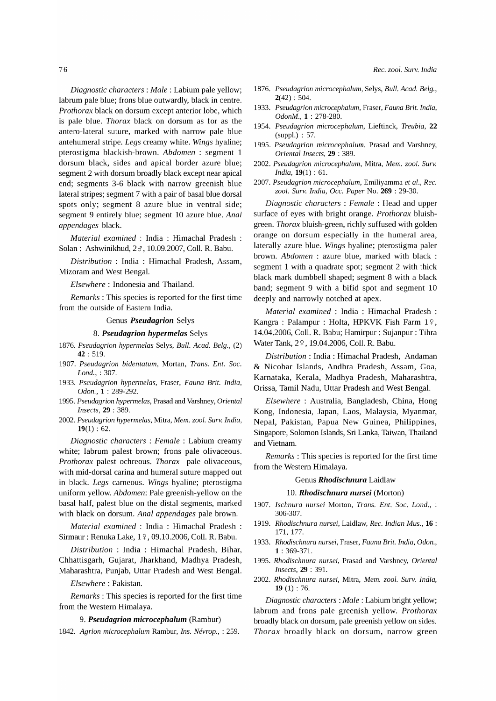*Diagnostic characters: Male:* Labium pale yellow; labrum pale blue; frons blue outwardly, black in centre. *Prothorax* black on dorsum except anterior lobe, which is pale blue. *Thorax* black on dorsum as for as the antero-Iateral suture, marked with narrow pale blue antehumeral stripe. *Legs* creamy white. *Wings* hyaline; pterostigma blackish-brown. *Abdomen:* segment 1 dorsum black, sides and apical border azure blue; segment 2 with dorsum broadly black except near apical end; segments 3-6 black with narrow greenish blue lateral stripes; segment 7 with a pair of basal blue dorsal spots only; segment 8 azure blue in ventral side; segment 9 entirely blue; segment 10 azure blue. *Anal appendages* black.

*Material examined* : India : Himachal Pradesh Solan: Ashwinikhud, 2&, 10.09.2007, Coll. R. Babu.

*Distribution* : India : Himachal Pradesh, Assam, Mizoram and West BengaL

*Elsewhere:* Indonesia and Thailand.

*Remarks* : This species is reported for the first time from the outside of Eastern India.

## Genus *Pseudagrion* Selys

# *8. Pseudagrion hypermelas* Selys

- *1876. Pseudagrion hypermelas* Selys, *Bull. Acad. Belg., (2)*  42 : 519.
- *1907. Pseudagrion bidentatum,* Mortan, *Trans. Ent. Soc. Lond.,* : 307.
- *1933. Pseudagrion hypermelas,* Fraser, *Fauna Brit. India, Odon.,* 1 : 289-292.
- *1995. Pseudagrion hypermelas,* Prasad and Varshney, *Oriental Insects,* 29 : 389.
- *2002. Pseudagrion hypermelas,* Mitra, *Mem. zool. Surv. India,*   $19(1) : 62.$

*Diagnostic characters* : *Female* : Labium creamy white; labrum palest brown; frons pale olivaceous. *Prothorax* palest ochreous. *Thorax* pale olivaceous, with mid-dorsal carina and humeral suture mapped out in black. *Legs* carneous. *Wings* hyaline; pterostigma uniform yellow. *Abdomen:* Pale greenish-yellow on the basal half, palest blue on the distal segments, marked with black on dorsum. *Anal appendages* pale brown.

*Material examined* : India : Himachal Pradesh : Sirmaur: Renuka Lake, 19, 09.10.2006, Coll. R. Babu.

*Distribution* : India : Himachal Pradesh, Bihar, Chhattisgarh, Gujarat, lharkhand, Madhya Pradesh, Maharashtra, Punjab, Uttar Pradesh and West Bengal.

# *Elsewhere:* Pakistan.

*Remarks* : This species is reported for the first time from the Western Himalaya.

# *9. Pseudagrion microcephalum* (Rambur)

*1842. Agrion microcephalum* Rambur, *Ins. Nevrop.,* : 259.

*Rec. zool. Surv. India* 

- *1876. Pseudagrion microcephalum,* Selys, *Bull. Acad. Belg.,*   $2(42): 504.$
- *1933. Pseudagrion microcephalum,* Fraser, *Fauna Brit. India, OdonM.,* 1 : 278-280.
- *1954. Pseudagrion microcephalum,* Lieftinck, *Treubia,* 22  $(suppl.) : 57.$
- *1995. Pseudagrion microcephalum,* Prasad and Varshney, *Oriental Insects,* 29 : 389.
- *2002. Pseudagrion microcephalum,* Mitra, *Mem. zool. Surv. India,* 19(1) : 61.
- *2007. Pseudagrion microcephalum,* Emiliyamma *et al., Rec. zool. Surv. India, Occ. Paper* No. 269 : 29-30.

*Diagnostic characters* : *Female* : Head and upper surface of eyes with bright orange. *Prothorax* bluishgreen. *Thorax* bluish-green, richly suffused with golden orange on dorsum especially in the humeral area, laterally azure blue. *Wings* hyaline; pterostigma paler brown. *Abdomen* : azure blue, marked with black : segment 1 with a quadrate spot; segment 2 with thick black mark dumbbell shaped; segment 8 with a black band; segment 9 with a bifid spot and segment 10 deeply and narrowly notched at apex.

*Material examined* : India : Himachal Pradesh : Kangra : Palampur : Holta, HPKVK Fish Farm  $1\frac{6}{7}$ , 14.04.2006, ColI. R. Babu; Hamirpur : Sujanpur : Tihra Water Tank, 2 °, 19.04.2006, Coll. R. Babu.

*Distribution* : India: Himachal Pradesh, Andaman & Nicobar Islands, Andhra Pradesh, Assam, Goa, Karnataka, Kerala, Madhya Pradesh, Maharashtra, Orissa, Tamil Nadu, Uttar Pradesh and West Bengal.

*Elsewhere* : Australia, Bangladesh, China, Hong Kong, Indonesia, lapan, Laos, Malaysia, Myanmar, Nepal, Pakistan, Papua New Guinea, Philippines, Singapore, Solomon Islands, Sri Lanka, Taiwan, Thailand and Vietnam.

*Remarks:* This species is reported for the first time from the Western Himalaya.

# Genus *Rhodischnura* Laidlaw

# *10. Rhodischnura nursei* (Morton)

- *1907. Ischnura nursei* Morton, *Trans. Ent. Soc. Lond.,*  306-307.
- *1919. Rhodischnura nursei,* Laidlaw, *Rec. Indian Mus.,* 16 : 171, 177.
- *1933. Rhodischnura nursei,* Fraser, *Fauna Brit. India, Odon.,*  1 : 369-371.
- *1995. Rhodischnura nursei,* Prasad and Varshney, *Oriental Insects,* 29 : 391.
- *2002. Rhodischnura nursei,* Mitra, *Mem. zool. Surv. India,*  19 (1) : 76.

*Diagnostic characters: Male:* Labium bright yellow; labrum and frons pale greenish yellow. *Prothorax*  broadly black on dorsum, pale greenish yellow on sides. *Thorax* broadly black on dorsum, narrow green